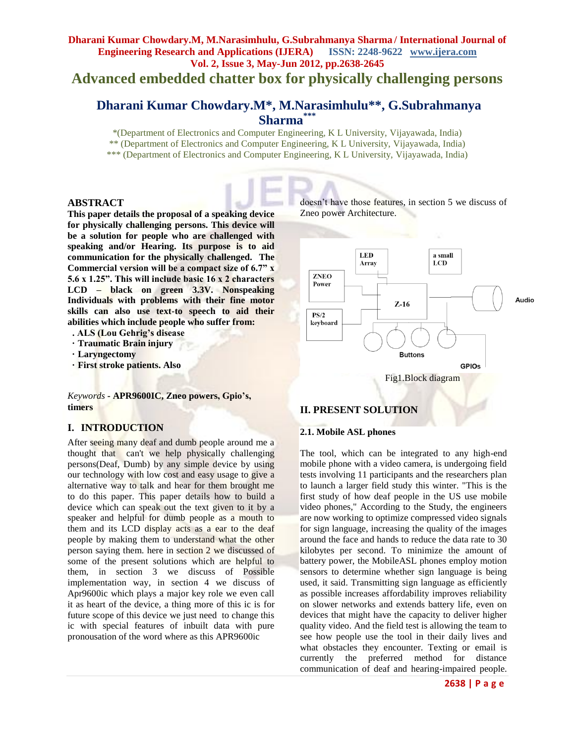**Advanced embedded chatter box for physically challenging persons**

# **Dharani Kumar Chowdary.M\*, M.Narasimhulu\*\*, G.Subrahmanya Sharma\*\*\***

\*(Department of Electronics and Computer Engineering, K L University, Vijayawada, India) \*\* (Department of Electronics and Computer Engineering, K L University, Vijayawada, India)

\*\*\* (Department of Electronics and Computer Engineering, K L University, Vijayawada, India)

#### **ABSTRACT**

**This paper details the proposal of a speaking device for physically challenging persons. This device will be a solution for people who are challenged with speaking and/or Hearing. Its purpose is to aid communication for the physically challenged. The Commercial version will be a compact size of 6.7" x 5.6 x 1.25". This will include basic 16 x 2 characters LCD – black on green 3.3V. Nonspeaking Individuals with problems with their fine motor skills can also use text-to speech to aid their abilities which include people who suffer from:** 

- **. ALS (Lou Gehrig's disease**
- **· Traumatic Brain injury**
- **· Laryngectomy**
- **· First stroke patients. Also**

*Keywords* **- APR9600IC, Zneo powers, Gpio's, timers**

# **I. INTRODUCTION**

After seeing many deaf and dumb people around me a thought that can't we help physically challenging persons(Deaf, Dumb) by any simple device by using our technology with low cost and easy usage to give a alternative way to talk and hear for them brought me to do this paper. This paper details how to build a device which can speak out the text given to it by a speaker and helpful for dumb people as a mouth to them and its LCD display acts as a ear to the deaf people by making them to understand what the other person saying them. here in section 2 we discussed of some of the present solutions which are helpful to them, in section 3 we discuss of Possible implementation way, in section 4 we discuss of Apr9600ic which plays a major key role we even call it as heart of the device, a thing more of this ic is for future scope of this device we just need to change this ic with special features of inbuilt data with pure pronousation of the word where as this APR9600ic

doesn't have those features, in section 5 we discuss of Zneo power Architecture.



# **II. PRESENT SOLUTION**

#### **2.1. Mobile ASL phones**

The tool, which can be integrated to any high-end mobile phone with a video camera, is undergoing field tests involving 11 participants and the researchers plan to launch a larger field study this winter. "This is the first study of how deaf people in the US use mobile video phones," According to the Study, the engineers are now working to optimize compressed video signals for sign language, increasing the quality of the images around the face and hands to reduce the data rate to 30 kilobytes per second. To minimize the amount of battery power, the MobileASL phones employ motion sensors to determine whether sign language is being used, it said. Transmitting sign language as efficiently as possible increases affordability improves reliability on slower networks and extends battery life, even on devices that might have the capacity to deliver higher quality video. And the field test is allowing the team to see how people use the tool in their daily lives and what obstacles they encounter. Texting or email is currently the preferred method for distance communication of deaf and hearing-impaired people.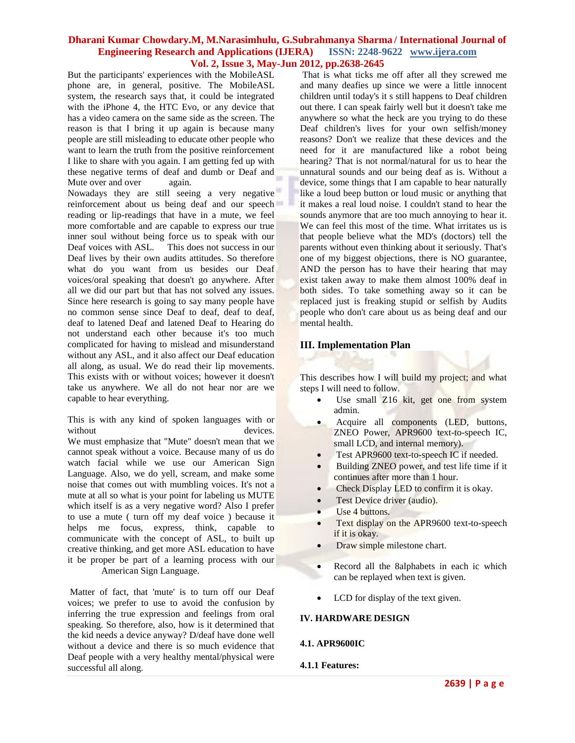But the participants' experiences with the MobileASL phone are, in general, positive. The MobileASL system, the research says that, it could be integrated with the iPhone 4, the HTC Evo, or any device that has a video camera on the same side as the screen. The reason is that I bring it up again is because many people are still misleading to educate other people who want to learn the truth from the positive reinforcement I like to share with you again. I am getting fed up with these negative terms of deaf and dumb or Deaf and Mute over and over again.

Nowadays they are still seeing a very negative reinforcement about us being deaf and our speech reading or lip-readings that have in a mute, we feel more comfortable and are capable to express our true inner soul without being force us to speak with our Deaf voices with ASL. This does not success in our Deaf lives by their own audits attitudes. So therefore what do you want from us besides our Deaf voices/oral speaking that doesn't go anywhere. After all we did our part but that has not solved any issues. Since here research is going to say many people have no common sense since Deaf to deaf, deaf to deaf, deaf to latened Deaf and latened Deaf to Hearing do not understand each other because it's too much complicated for having to mislead and misunderstand without any ASL, and it also affect our Deaf education all along, as usual. We do read their lip movements. This exists with or without voices; however it doesn't take us anywhere. We all do not hear nor are we capable to hear everything.

This is with any kind of spoken languages with or without devices.

We must emphasize that "Mute" doesn't mean that we cannot speak without a voice. Because many of us do watch facial while we use our American Sign Language. Also, we do yell, scream, and make some noise that comes out with mumbling voices. It's not a mute at all so what is your point for labeling us MUTE which itself is as a very negative word? Also I prefer to use a mute ( turn off my deaf voice ) because it helps me focus, express, think, capable to communicate with the concept of ASL, to built up creative thinking, and get more ASL education to have it be proper be part of a learning process with our American Sign Language.

Matter of fact, that 'mute' is to turn off our Deaf voices; we prefer to use to avoid the confusion by inferring the true expression and feelings from oral speaking. So therefore, also, how is it determined that the kid needs a device anyway? D/deaf have done well without a device and there is so much evidence that Deaf people with a very healthy mental/physical were successful all along.

That is what ticks me off after all they screwed me and many deafies up since we were a little innocent children until today's it s still happens to Deaf children out there. I can speak fairly well but it doesn't take me anywhere so what the heck are you trying to do these Deaf children's lives for your own selfish/money reasons? Don't we realize that these devices and the need for it are manufactured like a robot being hearing? That is not normal/natural for us to hear the unnatural sounds and our being deaf as is. Without a device, some things that I am capable to hear naturally like a loud beep button or loud music or anything that it makes a real loud noise. I couldn't stand to hear the sounds anymore that are too much annoying to hear it. We can feel this most of the time. What irritates us is that people believe what the MD's (doctors) tell the parents without even thinking about it seriously. That's one of my biggest objections, there is NO guarantee, AND the person has to have their hearing that may exist taken away to make them almost 100% deaf in both sides. To take something away so it can be replaced just is freaking stupid or selfish by Audits people who don't care about us as being deaf and our mental health.

# **III. Implementation Plan**

This describes how I will build my project; and what steps I will need to follow.

- Use small Z16 kit, get one from system admin.
- Acquire all components (LED, buttons, ZNEO Power, APR9600 text-to-speech IC, small LCD, and internal memory).
- Test APR9600 text-to-speech IC if needed.
- Building ZNEO power, and test life time if it continues after more than 1 hour.
- Check Display LED to confirm it is okay.
- **•** Test Device driver (audio).
- Use 4 buttons.
- Text display on the APR9600 text-to-speech if it is okay.
- Draw simple milestone chart.
- Record all the 8alphabets in each ic which can be replayed when text is given.
- LCD for display of the text given.

# **IV. HARDWARE DESIGN**

# **4.1. APR9600IC**

# **4.1.1 Features:**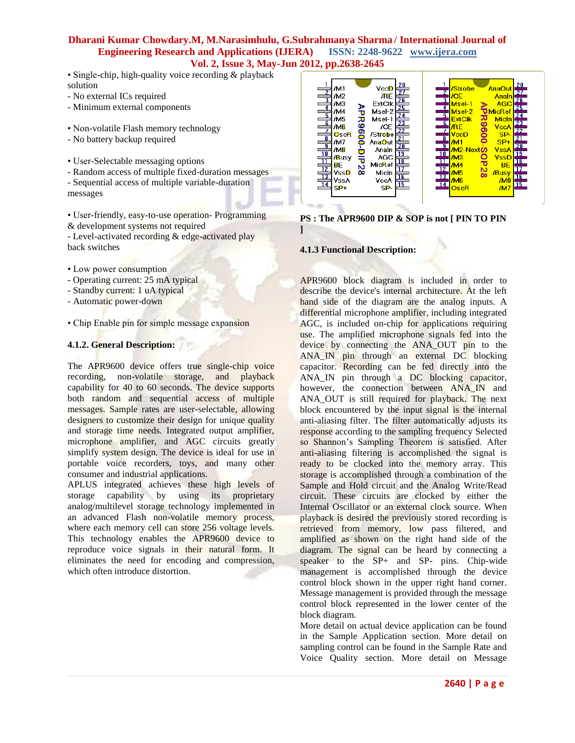- Single-chip, high-quality voice recording & playback solution
- No external ICs required
- Minimum external components
- Non-volatile Flash memory technology
- No battery backup required
- User-Selectable messaging options
- Random access of multiple fixed-duration messages
- Sequential access of multiple variable-duration messages

• User-friendly, easy-to-use operation- Programming & development systems not required - Level-activated recording & edge-activated play

back switches

- Low power consumption
- Operating current: 25 mA typical
- Standby current: 1 uA typical
- Automatic power-down
- Chip Enable pin for simple message expansion

### **4.1.2. General Description:**

The APR9600 device offers true single-chip voice recording, non-volatile storage, and playback capability for 40 to 60 seconds. The device supports both random and sequential access of multiple messages. Sample rates are user-selectable, allowing designers to customize their design for unique quality and storage time needs. Integrated output amplifier, microphone amplifier, and AGC circuits greatly simplify system design. The device is ideal for use in portable voice recorders, toys, and many other consumer and industrial applications.

APLUS integrated achieves these high levels of storage capability by using its proprietary analog/multilevel storage technology implemented in an advanced Flash non-volatile memory process, where each memory cell can store 256 voltage levels. This technology enables the APR9600 device to reproduce voice signals in their natural form. It eliminates the need for encoding and compression, which often introduce distortion.

| 28<br>VccD<br>/M1<br>/M <sub>2</sub><br>/RE<br>أما إمراها وأما إمراها وما إضا إضا إضا أكر<br>$\overline{26}$<br><b>ExtClk</b><br>/М3<br>25<br>Msel-2<br>/M4<br>Msel-1<br>/M5<br>고<br>$\frac{23}{2}$<br>096<br>/M6<br>/CE<br>22<br>OscR<br>/Strobe<br>21<br>/M7<br><b>AnaOut</b><br>8<br>20<br>/M8<br>Analn<br><u> 19</u><br><b>AGC</b><br>/Busy<br>₹<br>18<br>MicRef<br>BЕ<br>N<br>MicIn<br>VssD<br>œ<br>16<br>VccA<br>VssA<br>15<br>$SP-$<br>$SP+$ | 28<br><b>/Strobe</b><br><b>AnaOut</b><br>27<br>/CE<br>Analn<br>3<br>$\frac{26}{25}$<br><b>AGC</b><br>Msel-1<br><b>MicRef</b><br>Msel-2<br>$\overline{24}$<br><b>R9600</b><br><b>Michn</b><br><b>ExtClk</b><br>$\overline{\phantom{a}}$<br><u>23</u><br>/RE<br>VccA<br>22<br>$\frac{1}{9}$<br>SP-<br>VccD<br><u>21</u><br>$SP+$<br>/M1<br>$\overline{20}$<br><b>VssA</b><br>/M2-Next <b>(A</b><br>10,<br>19,<br><b>VssD</b><br>/M3<br>$\overline{11}$<br><u>18</u><br><b>BE</b><br>/M4<br>12<br>$\overline{8}$<br>/M5<br>/Busy<br>13<br><u> 16</u><br>/M8<br>/M6<br>14<br>15<br>/M7<br>OscR |
|-----------------------------------------------------------------------------------------------------------------------------------------------------------------------------------------------------------------------------------------------------------------------------------------------------------------------------------------------------------------------------------------------------------------------------------------------------|--------------------------------------------------------------------------------------------------------------------------------------------------------------------------------------------------------------------------------------------------------------------------------------------------------------------------------------------------------------------------------------------------------------------------------------------------------------------------------------------------------------------------------------------------------------------------------------------|
|-----------------------------------------------------------------------------------------------------------------------------------------------------------------------------------------------------------------------------------------------------------------------------------------------------------------------------------------------------------------------------------------------------------------------------------------------------|--------------------------------------------------------------------------------------------------------------------------------------------------------------------------------------------------------------------------------------------------------------------------------------------------------------------------------------------------------------------------------------------------------------------------------------------------------------------------------------------------------------------------------------------------------------------------------------------|

**PS : The APR9600 DIP & SOP is not [ PIN TO PIN ]**

### **4.1.3 Functional Description:**

APR9600 block diagram is included in order to describe the device's internal architecture. At the left hand side of the diagram are the analog inputs. A differential microphone amplifier, including integrated AGC, is included on-chip for applications requiring use. The amplified microphone signals fed into the device by connecting the ANA OUT pin to the ANA\_IN pin through an external DC blocking capacitor. Recording can be fed directly into the ANA\_IN pin through a DC blocking capacitor, however, the connection between ANA IN and ANA OUT is still required for playback. The next block encountered by the input signal is the internal anti-aliasing filter. The filter automatically adjusts its response according to the sampling frequency Selected so Shannon's Sampling Theorem is satisfied. After anti-aliasing filtering is accomplished the signal is ready to be clocked into the memory array. This storage is accomplished through a combination of the Sample and Hold circuit and the Analog Write/Read circuit. These circuits are clocked by either the Internal Oscillator or an external clock source. When playback is desired the previously stored recording is retrieved from memory, low pass filtered, and amplified as shown on the right hand side of the diagram. The signal can be heard by connecting a speaker to the SP+ and SP- pins. Chip-wide management is accomplished through the device control block shown in the upper right hand corner. Message management is provided through the message control block represented in the lower center of the block diagram.

More detail on actual device application can be found in the Sample Application section. More detail on sampling control can be found in the Sample Rate and Voice Quality section. More detail on Message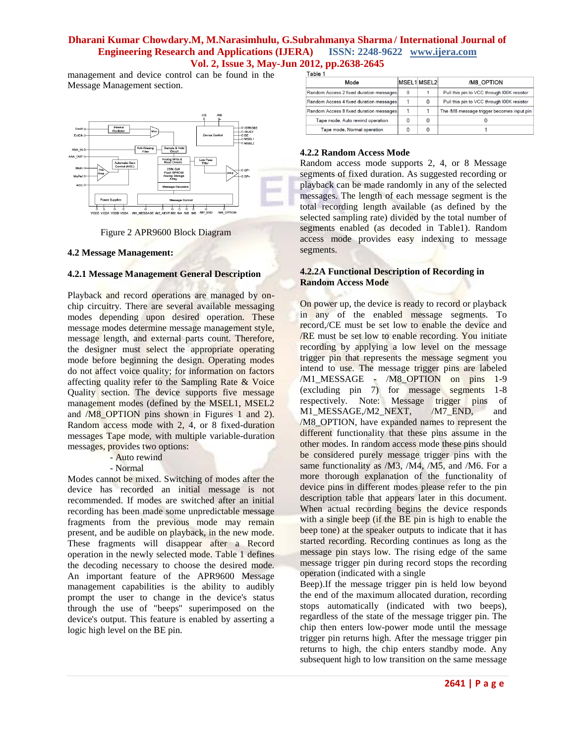management and device control can be found in the Message Management section.



Figure 2 APR9600 Block Diagram

#### **4.2 Message Management:**

### **4.2.1 Message Management General Description**

Playback and record operations are managed by onchip circuitry. There are several available messaging modes depending upon desired operation. These message modes determine message management style, message length, and external parts count. Therefore, the designer must select the appropriate operating mode before beginning the design. Operating modes do not affect voice quality; for information on factors affecting quality refer to the Sampling Rate & Voice Quality section. The device supports five message management modes (defined by the MSEL1, MSEL2 and /M8\_OPTION pins shown in Figures 1 and 2). Random access mode with 2, 4, or 8 fixed-duration messages Tape mode, with multiple variable-duration messages, provides two options:

- Auto rewind

- Normal

Modes cannot be mixed. Switching of modes after the device has recorded an initial message is not recommended. If modes are switched after an initial recording has been made some unpredictable message fragments from the previous mode may remain present, and be audible on playback, in the new mode. These fragments will disappear after a Record operation in the newly selected mode. Table 1 defines the decoding necessary to choose the desired mode. An important feature of the APR9600 Message management capabilities is the ability to audibly prompt the user to change in the device's status through the use of "beeps" superimposed on the device's output. This feature is enabled by asserting a logic high level on the BE pin.

| 1 avie 1                                |   |             |                                            |  |  |
|-----------------------------------------|---|-------------|--------------------------------------------|--|--|
| Mode                                    |   | MSEL1 MSEL2 | /M8 OPTION                                 |  |  |
| Random Access 2 fixed duration messages | O |             | Pull this pin to VCC through I00K resistor |  |  |
| Random Access 4 fixed duration messages |   | $\Omega$    | Pull this pin to VCC through I00K resistor |  |  |
| Random Access 8 fixed duration messages |   |             | The /M8 message trigger becomes input pin  |  |  |
| Tape mode, Auto rewind operation        | 0 | 0           |                                            |  |  |
| Tape mode, Normal operation             | 0 | 0           |                                            |  |  |

#### **4.2.2 Random Access Mode**

Random access mode supports 2, 4, or 8 Message segments of fixed duration. As suggested recording or playback can be made randomly in any of the selected messages. The length of each message segment is the total recording length available (as defined by the selected sampling rate) divided by the total number of segments enabled (as decoded in Table1). Random access mode provides easy indexing to message segments.

# **4.2.2A Functional Description of Recording in Random Access Mode**

On power up, the device is ready to record or playback in any of the enabled message segments. To record,/CE must be set low to enable the device and /RE must be set low to enable recording. You initiate recording by applying a low level on the message trigger pin that represents the message segment you intend to use. The message trigger pins are labeled /M1\_MESSAGE - /M8\_OPTION on pins 1-9 (excluding pin 7) for message segments 1-8 respectively. Note: Message trigger pins of M1\_MESSAGE,/M2\_NEXT, /M7\_END, and /M8\_OPTION, have expanded names to represent the different functionality that these pins assume in the other modes. In random access mode these pins should be considered purely message trigger pins with the same functionality as /M3, /M4, /M5, and /M6. For a more thorough explanation of the functionality of device pins in different modes please refer to the pin description table that appears later in this document. When actual recording begins the device responds with a single beep (if the BE pin is high to enable the beep tone) at the speaker outputs to indicate that it has started recording. Recording continues as long as the message pin stays low. The rising edge of the same message trigger pin during record stops the recording operation (indicated with a single

Beep).If the message trigger pin is held low beyond the end of the maximum allocated duration, recording stops automatically (indicated with two beeps), regardless of the state of the message trigger pin. The chip then enters low-power mode until the message trigger pin returns high. After the message trigger pin returns to high, the chip enters standby mode. Any subsequent high to low transition on the same message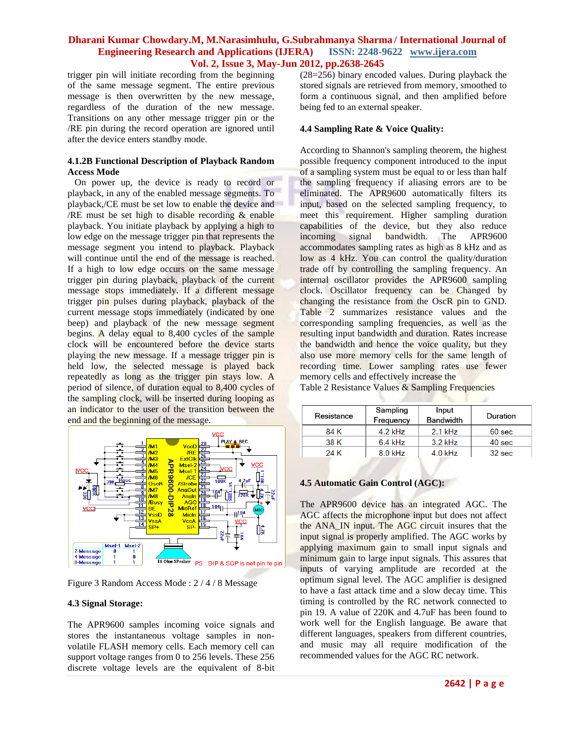# **Dharani Kumar Chowdary.M, M.Narasimhulu, G.Subrahmanya Sharma / International Journal of**<br>Engineering Research and Applications (IJERA) ISSN: 2248-9622 www.ijera.com **Engineering Research and Applications (IJERA) Vol. 2, Issue 3, May-Jun 2012, pp.2638-2645**

trigger pin will initiate recording from the beginning of the same message segment. The entire previous message is then overwritten by the new message, regardless of the duration of the new message. Transitions on any other message trigger pin or the /RE pin during the record operation are ignored until after the device enters standby mode.

### **4.1.2B Functional Description of Playback Random Access Mode**

 On power up, the device is ready to record or playback, in any of the enabled message segments. To playback,/CE must be set low to enable the device and /RE must be set high to disable recording  $&$  enable playback. You initiate playback by applying a high to low edge on the message trigger pin that represents the message segment you intend to playback. Playback will continue until the end of the message is reached. If a high to low edge occurs on the same message trigger pin during playback, playback of the current message stops immediately. If a different message trigger pin pulses during playback, playback of the current message stops immediately (indicated by one beep) and playback of the new message segment begins. A delay equal to 8,400 cycles of the sample clock will be encountered before the device starts playing the new message. If a message trigger pin is held low, the selected message is played back repeatedly as long as the trigger pin stays low. A period of silence, of duration equal to 8,400 cycles of the sampling clock, will be inserted during looping as an indicator to the user of the transition between the end and the beginning of the message.



Figure 3 Random Access Mode : 2 / 4 / 8 Message

# **4.3 Signal Storage:**

The APR9600 samples incoming voice signals and stores the instantaneous voltage samples in nonvolatile FLASH memory cells. Each memory cell can support voltage ranges from 0 to 256 levels. These 256 discrete voltage levels are the equivalent of 8-bit

(28=256) binary encoded values. During playback the stored signals are retrieved from memory, smoothed to form a continuous signal, and then amplified before being fed to an external speaker.

### **4.4 Sampling Rate & Voice Quality:**

According to Shannon's sampling theorem, the highest possible frequency component introduced to the input of a sampling system must be equal to or less than half the sampling frequency if aliasing errors are to be eliminated. The APR9600 automatically filters its input, based on the selected sampling frequency, to meet this requirement. Higher sampling duration capabilities of the device, but they also reduce incoming signal bandwidth. The APR9600 accommodates sampling rates as high as 8 kHz and as low as 4 kHz. You can control the quality/duration trade off by controlling the sampling frequency. An internal oscillator provides the APR9600 sampling clock. Oscillator frequency can be Changed by changing the resistance from the OscR pin to GND. Table 2 summarizes resistance values and the corresponding sampling frequencies, as well as the resulting input bandwidth and duration. Rates increase the bandwidth and hence the voice quality, but they also use more memory cells for the same length of recording time. Lower sampling rates use fewer memory cells and effectively increase the Table 2 Resistance Values & Sampling Frequencies

| $\frac{1}{2}$ and $\frac{1}{2}$ resistance $\frac{1}{2}$ and $\frac{1}{2}$ $\frac{1}{2}$ requesters |  |
|-----------------------------------------------------------------------------------------------------|--|
|                                                                                                     |  |
|                                                                                                     |  |

| Resistance | Sampling<br>Frequency | Input<br><b>Bandwidth</b> | Duration          |
|------------|-----------------------|---------------------------|-------------------|
| 84 K       | $4.2$ kHz             | $2.1$ kHz                 | 60 <sub>sec</sub> |
| 38 K       | $6.4$ kHz             | $3.2$ kHz                 | 40 <sub>sec</sub> |
| 24 K       | $8.0$ kHz             | $4.0$ kHz                 | $32$ sec          |

# **4.5 Automatic Gain Control (AGC):**

The APR9600 device has an integrated AGC. The AGC affects the microphone input but does not affect the ANA\_IN input. The AGC circuit insures that the input signal is properly amplified. The AGC works by applying maximum gain to small input signals and minimum gain to large input signals. This assures that inputs of varying amplitude are recorded at the optimum signal level. The AGC amplifier is designed to have a fast attack time and a slow decay time. This timing is controlled by the RC network connected to pin 19. A value of 220K and 4.7uF has been found to work well for the English language. Be aware that different languages, speakers from different countries, and music may all require modification of the recommended values for the AGC RC network.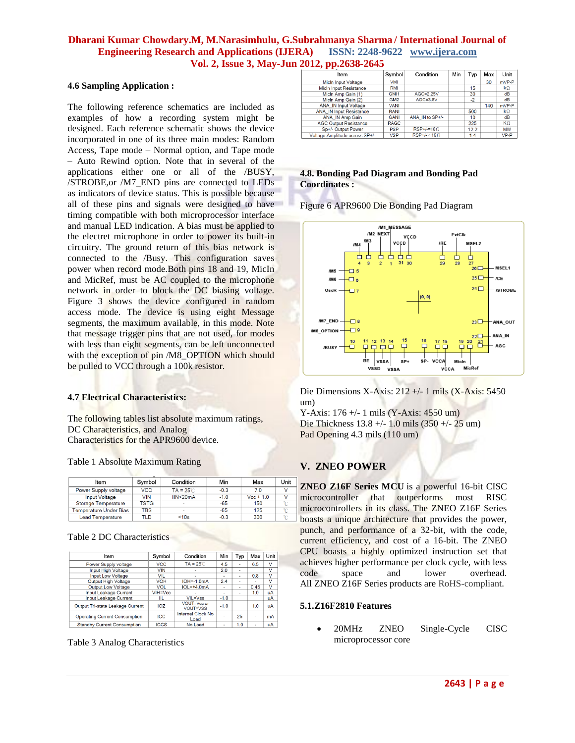### **4.6 Sampling Application :**

The following reference schematics are included as examples of how a recording system might be designed. Each reference schematic shows the device incorporated in one of its three main modes: Random Access, Tape mode – Normal option, and Tape mode – Auto Rewind option. Note that in several of the applications either one or all of the /BUSY, /STROBE,or /M7\_END pins are connected to LEDs as indicators of device status. This is possible because all of these pins and signals were designed to have timing compatible with both microprocessor interface and manual LED indication. A bias must be applied to the electret microphone in order to power its built-in circuitry. The ground return of this bias network is connected to the /Busy. This configuration saves power when record mode.Both pins 18 and 19, MicIn and MicRef, must be AC coupled to the microphone network in order to block the DC biasing voltage. Figure 3 shows the device configured in random access mode. The device is using eight Message segments, the maximum available, in this mode. Note that message trigger pins that are not used, for modes with less than eight segments, can be left unconnected with the exception of pin /M8\_OPTION which should be pulled to VCC through a 100k resistor.

### **4.7 Electrical Characteristics:**

The following tables list absolute maximum ratings, DC Characteristics, and Analog Characteristics for the APR9600 device.

#### Table 1 Absolute Maximum Rating

| Item                          | Symbol      | Condition                | Min    | Max         | Unit |
|-------------------------------|-------------|--------------------------|--------|-------------|------|
| Power Supply voltage          | <b>VCC</b>  | $TA = 25^{\circ}$ C      | $-0.3$ | 7.0         |      |
| <b>Input Voltage</b>          | VIN         | IIN < 20mA               | $-1.0$ | $Vec + 1.0$ |      |
| Storage Temperature           | <b>TSTG</b> | $\overline{\phantom{0}}$ | $-65$  | 150         |      |
| <b>Temperature Under Bias</b> | <b>TBS</b>  |                          | $-65$  | 125         |      |
| <b>Lead Temperature</b>       | TLD         | < 10s                    | $-0.3$ | 300         |      |

Table 2 DC Characteristics

| Item                                 | Symbol      | Condition                 | Min    | Typ                      | Max  | Unit                    |
|--------------------------------------|-------------|---------------------------|--------|--------------------------|------|-------------------------|
| Power Supply voltage                 | <b>VCC</b>  | $TA = 25^{\circ}$ C       | 4.5    | $\overline{\phantom{a}}$ | 6.5  | $\vee$                  |
| Input High Voltage                   | <b>VIN</b>  | ۰                         | 2.0    | ٠                        |      | $\vee$                  |
| Input Low Voltage                    | <b>VIL</b>  | $\overline{\phantom{a}}$  | ۰      | ۰                        | 0.8  | v                       |
| Output High Voltage                  | <b>VOH</b>  | $IOH=.1.6mA$              | 2.4    | ۰                        | ۰    | v                       |
| Output Low Voltage                   | VOL         | $IOI = +4.0mA$            | ۰      | ۰                        | 0.45 | $\overline{\mathsf{v}}$ |
| Input Leakage Current                | $VIH=Vec$   |                           | ٠      | $\blacksquare$           | 1.0  | uA                      |
| Input Leakage Current                | IIL         | VIL=Vss                   | $-1.0$ |                          |      | uA                      |
| Output Tri-state Leakage Current     | IOZ         | VOUT=Vcc or<br>VOUT=VSS   | $-1.0$ |                          | 1.0  | uA                      |
| <b>Operating Current Consumption</b> | <b>ICC</b>  | Internal Clock No<br>Load |        | 25                       | ٠    | mA                      |
| <b>Standby Current Consumption</b>   | <b>ICCS</b> | No Load                   | ٠      | 1.0                      | ٠    | uA                      |

Table 3 Analog Characteristics

| Item                           | Symbol           | Condition                                  | Min | Typ  | Max | Unit               |
|--------------------------------|------------------|--------------------------------------------|-----|------|-----|--------------------|
| Micln Input Voltage            | VMI              |                                            |     |      | 30  | mVP-P              |
| <b>MicIn Input Resistance</b>  | RMI              |                                            |     | 15   |     | $\mathbf{k}\Omega$ |
| Micln Amp Gain (1)             | GMI <sub>1</sub> | AGC=2.25V                                  |     | 30   |     | dB                 |
| Micln Amp Gain (2)             | GM <sub>2</sub>  | $AGC = 3.8V$                               |     | $-2$ |     | dB                 |
| <b>ANA_IN Input Voltage</b>    | <b>VANI</b>      |                                            |     |      | 140 | mVP-P              |
| <b>ANA IN Input Resistance</b> | RANI             |                                            |     | 500  |     | $\mathsf{k}\Omega$ |
| ANA IN Amp Gain                | <b>GANI</b>      | ANA IN to SP+/-                            |     | 10   |     | dB                 |
| <b>AGC Output Resistance</b>   | <b>RAGC</b>      |                                            |     | 225  |     | $K\Omega$          |
| Sp+/- Output Power             | <b>PSP</b>       | $RSP+/-=16\Omega$                          |     | 12.2 |     | <b>MW</b>          |
| Voltage Amplitude across SP+/- | <b>VSP</b>       | $\overline{\mathsf{RSP+/-}} \ge 16 \Omega$ |     | 1.4  |     | $VP-P$             |

### **4.8. Bonding Pad Diagram and Bonding Pad Coordinates :**

Figure 6 APR9600 Die Bonding Pad Diagram



Die Dimensions X-Axis: 212 +/- 1 mils (X-Axis: 5450 um)

Y-Axis: 176 +/- 1 mils (Y-Axis: 4550 um) Die Thickness 13.8 +/- 1.0 mils (350 +/- 25 um) Pad Opening 4.3 mils (110 um)

# **V. ZNEO POWER**

**ZNEO Z16F Series MCU** is a powerful 16-bit CISC microcontroller that outperforms most RISC microcontrollers in its class. The ZNEO Z16F Series boasts a unique architecture that provides the power, punch, and performance of a 32-bit, with the code, current efficiency, and cost of a 16-bit. The ZNEO CPU boasts a highly optimized instruction set that achieves higher performance per clock cycle, with less code space and lower overhead. All ZNEO Z16F Series products are [RoHS-compliant.](http://zilog.com/index.php?option=com_zicon&task=quality_reliability&Itemid=81)

#### **5.1.Z16F2810 Features**

• 20MHz ZNEO Single-Cycle CISC microprocessor core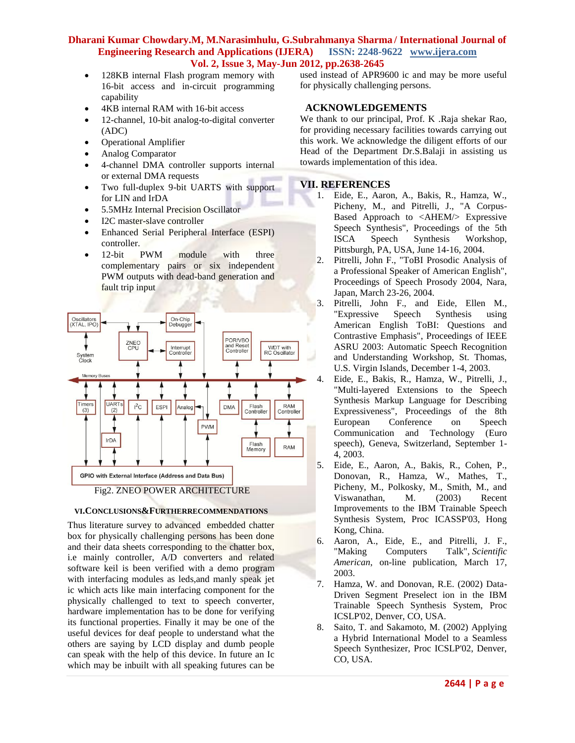- 128KB internal Flash program memory with 16-bit access and in-circuit programming capability
- 4KB internal RAM with 16-bit access
- 12-channel, 10-bit analog-to-digital converter (ADC)
- Operational Amplifier
- Analog Comparator
- 4-channel DMA controller supports internal or external DMA requests
- Two full-duplex 9-bit UARTS with support for LIN and IrDA
- 5.5MHz Internal Precision Oscillator
- I2C master-slave controller
- Enhanced Serial Peripheral Interface (ESPI) controller.
- 12-bit PWM module with three complementary pairs or six independent PWM outputs with dead-band generation and fault trip input





Thus literature survey to advanced embedded chatter box for physically challenging persons has been done and their data sheets corresponding to the chatter box, i.e mainly controller, A/D converters and related software keil is been verified with a demo program with interfacing modules as leds,and manly speak jet ic which acts like main interfacing component for the physically challenged to text to speech converter, hardware implementation has to be done for verifying its functional properties. Finally it may be one of the useful devices for deaf people to understand what the others are saying by LCD display and dumb people can speak with the help of this device. In future an Ic which may be inbuilt with all speaking futures can be used instead of APR9600 ic and may be more useful for physically challenging persons.

# **ACKNOWLEDGEMENTS**

We thank to our principal, Prof. K .Raja shekar Rao, for providing necessary facilities towards carrying out this work. We acknowledge the diligent efforts of our Head of the Department Dr.S.Balaji in assisting us towards implementation of this idea.

# **VII. REFERENCES**

- 1. Eide, E., Aaron, A., Bakis, R., Hamza, W., Picheny, M., and Pitrelli, J., "A Corpus-Based Approach to <AHEM/> Expressive Speech Synthesis", Proceedings of the 5th ISCA Speech Synthesis Workshop, Pittsburgh, PA, USA, June 14-16, 2004.
- 2. Pitrelli, John F., "ToBI Prosodic Analysis of a Professional Speaker of American English", Proceedings of Speech Prosody 2004, Nara, Japan, March 23-26, 2004.
- 3. Pitrelli, John F., and Eide, Ellen M., "Expressive Speech Synthesis using American English ToBI: Questions and Contrastive Emphasis", Proceedings of IEEE ASRU 2003: Automatic Speech Recognition and Understanding Workshop, St. Thomas, U.S. Virgin Islands, December 1-4, 2003.
- 4. Eide, E., Bakis, R., Hamza, W., Pitrelli, J., "Multi-layered Extensions to the Speech Synthesis Markup Language for Describing Expressiveness", Proceedings of the 8th European Conference on Speech Communication and Technology (Euro speech), Geneva, Switzerland, September 1- 4, 2003.
- 5. Eide, E., Aaron, A., Bakis, R., Cohen, P., Donovan, R., Hamza, W., Mathes, T., Picheny, M., Polkosky, M., Smith, M., and Viswanathan, M. (2003) Recent Improvements to the IBM Trainable Speech Synthesis System, Proc ICASSP'03, Hong Kong, China.
- 6. Aaron, A., Eide, E., and Pitrelli, J. F., "Making Computers Talk", *Scientific American*, on-line publication, March 17, 2003.
- 7. Hamza, W. and Donovan, R.E. (2002) Data-Driven Segment Preselect ion in the IBM Trainable Speech Synthesis System, Proc ICSLP'02, Denver, CO, USA.
- 8. Saito, T. and Sakamoto, M. (2002) Applying a Hybrid International Model to a Seamless Speech Synthesizer, Proc ICSLP'02, Denver, CO, USA.